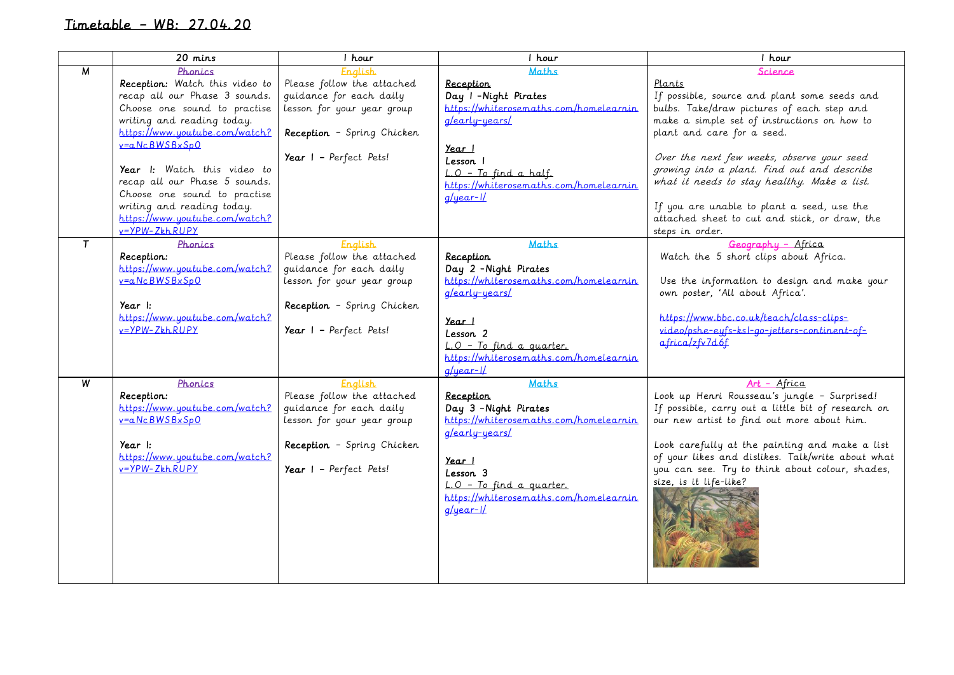## Timetable – WB: 27.04.20

|   | 20 mins                        | 1 hour                     | 1 hour                                 | 1 hour                                             |
|---|--------------------------------|----------------------------|----------------------------------------|----------------------------------------------------|
| M | Phonics                        | English                    | Maths                                  | Science                                            |
|   | Reception: Watch this video to | Please follow the attached | <b>Reception</b>                       | Plants                                             |
|   | recap all our Phase 3 sounds.  | quidance for each daily    | Day I - Night Pirates                  | If possible, source and plant some seeds and       |
|   | Choose one sound to practise   | lesson for your year group | https://whiterosemaths.com/homelearnin | bulbs. Take/draw pictures of each step and         |
|   | writing and reading today.     |                            | g/early-years/                         | make a simple set of instructions on how to        |
|   | https://www.youtube.com/watch? | Reception - Spring Chicken |                                        | plant and care for a seed.                         |
|   | v=aNcBWSBxSp0                  |                            | <u>Year I</u>                          |                                                    |
|   |                                | Year I - Perfect Pets!     | Lesson I                               | Over the next few weeks, observe your seed         |
|   | Year I: Watch this video to    |                            | L.O - To find a half.                  | growing into a plant. Find out and describe        |
|   | recap all our Phase 5 sounds.  |                            | https://whiterosemaths.com/homelearnin | what it needs to stay healthy. Make a list.        |
|   | Choose one sound to practise   |                            | $q/\eta$ ear- $1/$                     |                                                    |
|   | writing and reading today.     |                            |                                        | If you are unable to plant a seed, use the         |
|   | https://www.youtube.com/watch? |                            |                                        | attached sheet to cut and stick, or draw, the      |
|   | $y = \frac{y - y}{k - k}$      |                            |                                        | steps in order.                                    |
| T | Phonics                        | <b>English</b>             | Maths                                  | Geography - Africa                                 |
|   | Reception:                     | Please follow the attached | <b>Reception</b>                       | Watch the 5 short clips about Africa.              |
|   | https://www.youtube.com/watch? | quidance for each daily    | Day 2 - Night Pirates                  |                                                    |
|   | $v=a.Nc.BWSBxSp0$              | lesson for your year group | https://whiterosemaths.com/homelearnin | Use the information to design and make your        |
|   |                                |                            | g/early-years/                         | own poster, 'All about Africa'.                    |
|   | Year $\mathsf{I}:$             | Reception - Spring Chicken |                                        |                                                    |
|   | https://www.youtube.com/watch? |                            | <u>Year I</u>                          | https://www.bbc.co.uk/teach/class-clips-           |
|   | v=YPW-ZkhRUPY                  | Year I - Perfect Pets!     | Lesson 2                               | video/pshe-eufs-ksl-go-jetters-continent-of-       |
|   |                                |                            | L.O - To find a quarter.               | $a$ frica/zfv7d6f                                  |
|   |                                |                            | https://whiterosemaths.com/homelearnin |                                                    |
|   |                                |                            | $q /$ $year - 1/$                      |                                                    |
| W | Phonics                        | <b>English</b>             | Maths                                  | Art - Africa                                       |
|   | Reception:                     | Please follow the attached | <b>Reception</b>                       | Look up Henri Rousseau's jungle - Surprised!       |
|   | https://www.youtube.com/watch? | quidance for each daily    | Day 3 - Night Pirates                  | If possible, carry out a little bit of research on |
|   | $v=a.Nc.BWSBxSp0$              | lesson for your year group | https://whiterosemaths.com/homelearnin | our new artist to find out more about him.         |
|   |                                |                            | g/early-years/                         |                                                    |
|   | Year I:                        | Reception - Spring Chicken |                                        | Look carefully at the painting and make a list     |
|   | https://www.youtube.com/watch? |                            | <u>Year I</u>                          | of your likes and dislikes. Talk/write about what  |
|   | $y = \frac{y - y}{k}$          | Year I - Perfect Pets!     | Lesson 3                               | you can see. Try to think about colour, shades,    |
|   |                                |                            | L.O - To find a quarter.               | size, is it life-like?                             |
|   |                                |                            | https://whiterosemaths.com/homelearnin |                                                    |
|   |                                |                            | $q$ /year- $1/$                        |                                                    |
|   |                                |                            |                                        |                                                    |
|   |                                |                            |                                        |                                                    |
|   |                                |                            |                                        |                                                    |
|   |                                |                            |                                        |                                                    |
|   |                                |                            |                                        |                                                    |
|   |                                |                            |                                        |                                                    |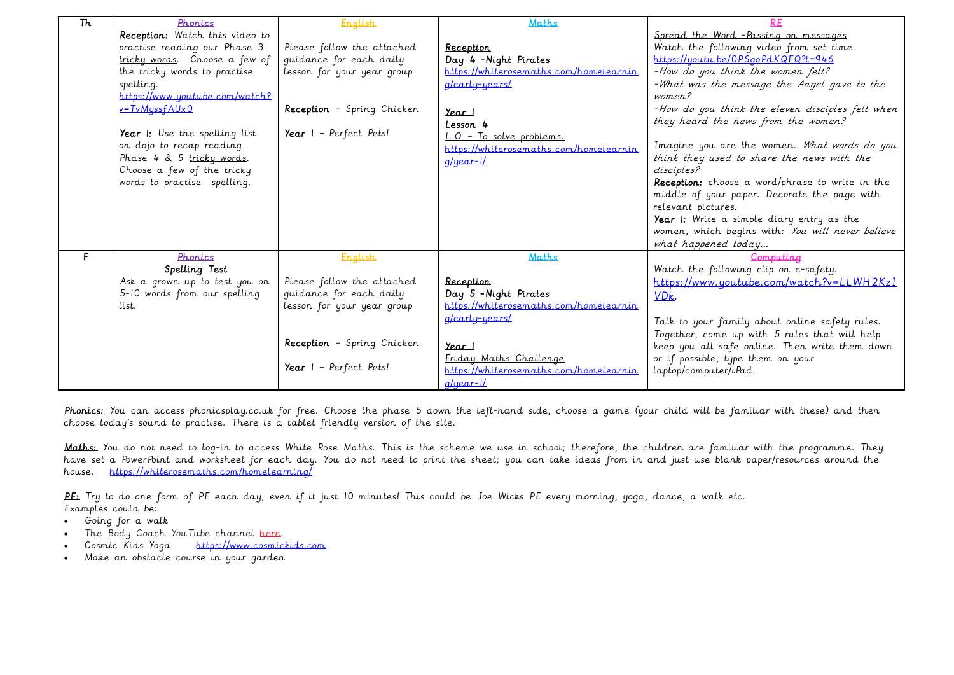| Th | Phonics                        | <b>English</b>             | <b>Maths</b>                           |                                                  |
|----|--------------------------------|----------------------------|----------------------------------------|--------------------------------------------------|
|    | Reception: Watch this video to |                            |                                        | Spread the Word - Passing on messages            |
|    | practise reading our Phase 3   | Please follow the attached | <b>Reception</b>                       | Watch the following video from set time.         |
|    | tricky words. Choose a few of  | guidance for each daily    | Day 4 - Night Pirates                  | https://youtu.be/0PSgoPdKQFQ?t=946               |
|    | the tricky words to practise   | lesson for your year group | https://whiterosemaths.com/homelearnin | -How do you think the women felt?                |
|    | spelling.                      |                            | g/early-years/                         | -What was the message the Angel gave to the      |
|    | https://www.youtube.com/watch? |                            |                                        | women?                                           |
|    | $v = TvMyssfAlxO$              | Reception - Spring Chicken | Year I                                 | -How do you think the eleven disciples felt when |
|    |                                |                            | Lesson 4                               | they heard the news from the women?              |
|    | Year I: Use the spelling list  | Year $I$ - Perfect Pets!   | L.O - To solve problems.               |                                                  |
|    | on dojo to recap reading       |                            | https://whiterosemaths.com/homelearnin | Imagine you are the women. What words do you     |
|    | Phase 4 & 5 tricky words.      |                            | $q$ /year-1/                           | think they used to share the news with the       |
|    | Choose a few of the tricky     |                            |                                        | disciples?                                       |
|    | words to practise spelling.    |                            |                                        | Reception: choose a word/phrase to write in the  |
|    |                                |                            |                                        | middle of your paper. Decorate the page with     |
|    |                                |                            |                                        | relevant pictures.                               |
|    |                                |                            |                                        | Year I: Write a simple diary entry as the        |
|    |                                |                            |                                        | women, which begins with: You will never believe |
|    |                                |                            |                                        | what happened today                              |
| F  | Phonics                        | <b>English</b>             | <b>Maths</b>                           | Computing                                        |
|    | Spelling Test                  |                            |                                        | Watch the following clip on e-safety.            |
|    | Ask a grown up to test you on  | Please follow the attached | <u>Reception</u>                       | $https://www.youtube.com/watch?v=LLWH2KzI$       |
|    | 5-10 words from our spelling   | guidance for each daily    | Day 5 - Night Pirates                  | VDk.                                             |
|    | List.                          | lesson for your year group | https://whiterosemaths.com/homelearnin |                                                  |
|    |                                |                            | g/early-years/                         | Talk to your family about online safety rules.   |
|    |                                |                            |                                        | Together, come up with 5 rules that will help    |
|    |                                | Reception - Spring Chicken | $Year$ $\mid$                          | keep you all safe online. Then write them down   |
|    |                                |                            | Friday Maths Challenge                 | or if possible, type them on your                |
|    |                                | Year $I$ - Perfect Pets!   | https://whiterosemaths.com/homelearnin | laptop/computer/iPad.                            |
|    |                                |                            | $a/uear-1/$                            |                                                  |

Phonics: You can access phonicsplay.co.uk for free. Choose the phase 5 down the left-hand side, choose a game (your child will be familiar with these) and then choose today's sound to practise. There is a tablet friendly version of the site.

Maths: You do not need to log-in to access White Rose Maths. This is the scheme we use in school; therefore, the children are familiar with the programme. They have set a PowerPoint and worksheet for each day. You do not need to print the sheet; you can take ideas from in and just use blank paper/resources around the house. <https://whiterosemaths.com/homelearning/>

PE: Try to do one form of PE each day, even if it just 10 minutes! This could be Joe Wicks PE every morning, yoga, dance, a walk etc. Examples could be:

- Going for a walk
- The Body Coach You Tube channel [here.](https://www.youtube.com/channel/UCAxW1XT0iEJo0TYlRfn6rYQ)
- Cosmic Kids Yoga [https://www.cosmickids.com](https://www.cosmickids.com/)
- Make an obstacle course in your garden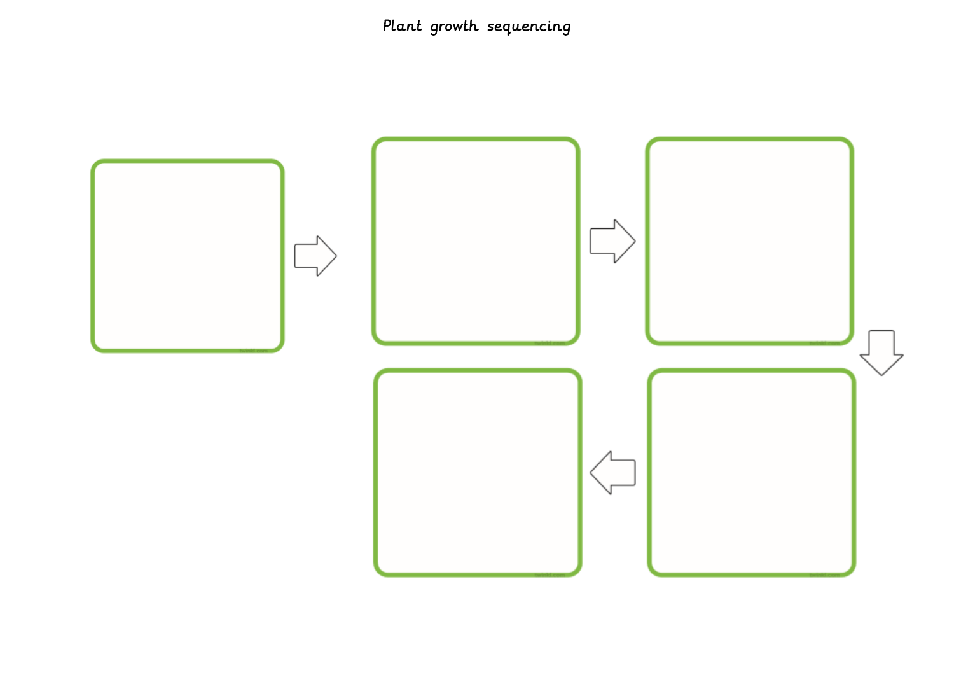## Plant growth sequencing